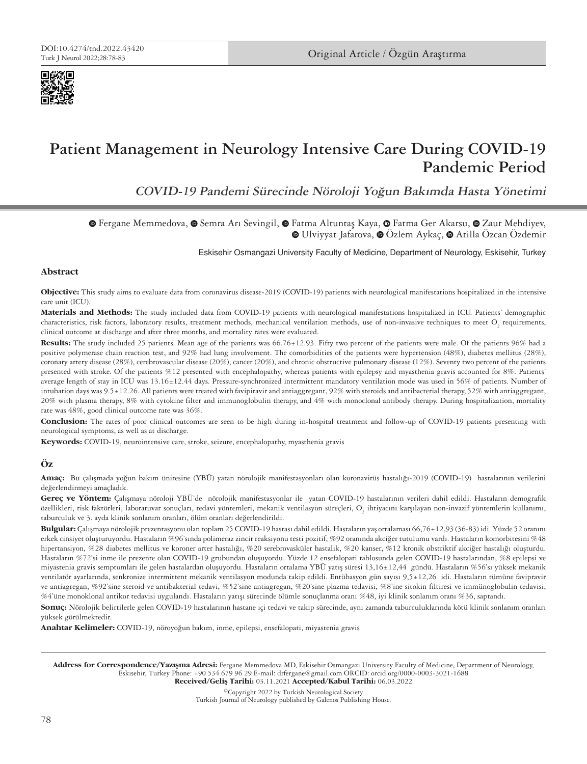

# **Patient Management in Neurology Intensive Care During COVID-19 Pandemic Period**

**COVID-19 Pandemi Sürecinde Nöroloji Yoğun Bakımda Hasta Yönetimi**

**TheFergane Memmedova, @ [S](https://orcid.org/0000-0002-6766-1095)emra Arı Sevingil, @ Fatma Altuntaş Kaya, @ Fatma Ger Akarsu, @ Zaur Mehdiyev,** Ulviyyat Jafarova,Özlem Aykaç,Atilla Özcan Özdemir

Eskisehir Osmangazi University Faculty of Medicine, Department of Neurology, Eskisehir, Turkey

# **Abstract**

**Objective:** This study aims to evaluate data from coronavirus disease-2019 (COVID-19) patients with neurological manifestations hospitalized in the intensive care unit (ICU).

**Materials and Methods:** The study included data from COVID-19 patients with neurological manifestations hospitalized in ICU. Patients' demographic characteristics, risk factors, laboratory results, treatment methods, mechanical ventilation methods, use of non-invasive techniques to meet  $O_{_2}$  requirements, clinical outcome at discharge and after three months, and mortality rates were evaluated.

Results: The study included 25 patients. Mean age of the patients was 66.76±12.93. Fifty two percent of the patients were male. Of the patients 96% had a positive polymerase chain reaction test, and 92% had lung involvement. The comorbidities of the patients were hypertension (48%), diabetes mellitus (28%), coronary artery disease (28%), cerebrovascular disease (20%), cancer (20%), and chronic obstructive pulmonary disease (12%). Seventy two percent of the patients presented with stroke. Of the patients %12 presented with encephalopathy, whereas patients with epilepsy and myasthenia gravis accounted for 8%. Patients' average length of stay in ICU was 13.16±12.44 days. Pressure-synchronized intermittent mandatory ventilation mode was used in 56% of patients. Number of intubation days was 9.5±12.26. All patients were treated with favipiravir and antiaggregant, 92% with steroids and antibacterial therapy, 52% with antiaggregant, 20% with plasma therapy, 8% with cytokine filter and immunoglobulin therapy, and 4% with monoclonal antibody therapy. During hospitalization, mortality rate was 48%, good clinical outcome rate was 36%.

**Conclusion:** The rates of poor clinical outcomes are seen to be high during in-hospital treatment and follow-up of COVID-19 patients presenting with neurological symptoms, as well as at discharge.

**Keywords:** COVID-19, neurointensive care, stroke, seizure, encephalopathy, myasthenia gravis

# **Öz**

**Amaç:** Bu çalışmada yoğun bakım ünitesine (YBÜ) yatan nörolojik manifestasyonları olan koronavirüs hastalığı-2019 (COVID-19) hastalarının verilerini değerlendirmeyi amaçladık.

**Gereç ve Yöntem:** Çalışmaya nöroloji YBÜ'de nörolojik manifestasyonlar ile yatan COVID-19 hastalarının verileri dahil edildi. Hastaların demografik özellikleri, risk faktörleri, laboratuvar sonuçları, tedavi yöntemleri, mekanik ventilasyon süreçleri, O $_2$  ihtiyacını karşılayan non-invazif yöntemlerin kullanımı, taburculuk ve 3. ayda klinik sonlanım oranları, ölüm oranları değerlendirildi.

**Bulgular:** Çalışmaya nörolojik prezentasyonu olan toplam 25 COVID-19 hastası dahil edildi. Hastaların yaş ortalaması 66,76±12,93 (36-83) idi. Yüzde 52 oranını erkek cinsiyet oluşturuyordu. Hastaların %96'sında polimeraz zincir reaksiyonu testi pozitif, %92 oranında akciğer tutulumu vardı. Hastaların komorbitesini %48 hipertansiyon, %28 diabetes mellitus ve koroner arter hastalığı, %20 serebrovasküler hastalık, %20 kanser, %12 kronik obstriktif akciğer hastalığı oluşturdu. Hastaların %72'si inme ile prezente olan COVID-19 grubundan oluşuyordu. Yüzde 12 ensefalopati tablosunda gelen COVID-19 hastalarından, %8 epilepsi ve miyastenia gravis semptomları ile gelen hastalardan oluşuyordu. Hastaların ortalama YBÜ yatış süresi 13,16±12,44 gündü. Hastaların %56'sı yüksek mekanik ventilatör ayarlarında, senkronize intermittent mekanik ventilasyon modunda takip edildi. Entübasyon gün sayısı 9,5±12,26 idi. Hastaların tümüne favipravir ve antiagregan, %92'sine steroid ve antibakterial tedavi, %52'sine antiagregan, %20'sine plazma tedavisi, %8'ine sitokin filtiresi ve immünoglobulin tedavisi, %4'üne monoklonal antikor tedavisi uygulandı. Hastaların yatışı sürecinde ölümle sonuçlanma oranı %48, iyi klinik sonlanım oranı %36, saptandı.

**Sonuç:** Nörolojik belirtilerle gelen COVID-19 hastalarının hastane içi tedavi ve takip sürecinde, aynı zamanda taburculuklarında kötü klinik sonlanım oranları yüksek görülmektedir.

**Anahtar Kelimeler:** COVID-19, nöroyoğun bakım, inme, epilepsi, ensefalopati, miyastenia gravis

Address for Correspondence/Yazışma Adresi: Fergane Memmedova MD, Eskisehir Osmangazi University Faculty of Medicine, Department of Neurology, Eskisehir, Turkey Phone: +90 534 679 96 29 E-mail: drfergane@gmail.com ORCID: orcid.org/0000-0003-3021-1688 Received/Gelis Tarihi: 03.11.2021 Accepted/Kabul Tarihi: 06.03.2022

©Copyright 2022 by Turkish Neurological Society Turkish Journal of Neurology published by Galenos Publishing House.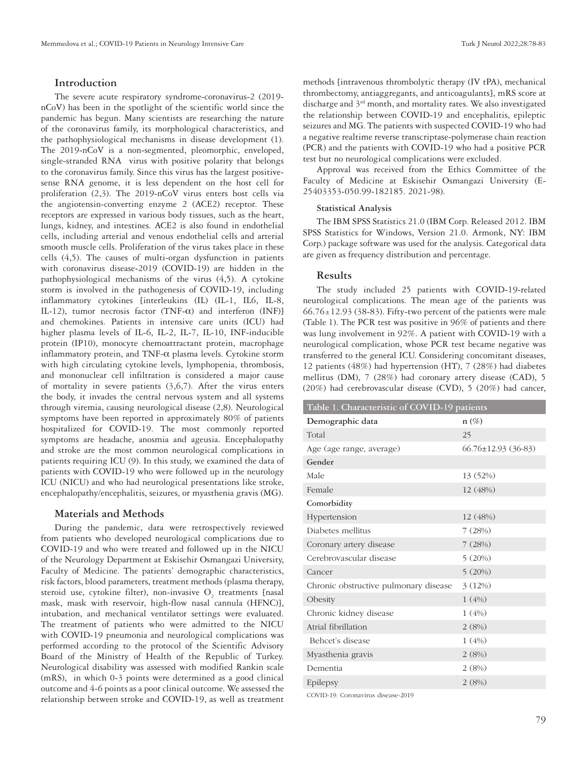# **Introduction**

The severe acute respiratory syndrome-coronavirus-2 (2019 nCoV) has been in the spotlight of the scientific world since the pandemic has begun. Many scientists are researching the nature of the coronavirus family, its morphological characteristics, and the pathophysiological mechanisms in disease development (1). The 2019-nCoV is a non-segmented, pleomorphic, enveloped, single-stranded RNA virus with positive polarity that belongs to the coronavirus family. Since this virus has the largest positivesense RNA genome, it is less dependent on the host cell for proliferation (2,3). The 2019-nCoV virus enters host cells via the angiotensin-converting enzyme 2 (ACE2) receptor. These receptors are expressed in various body tissues, such as the heart, lungs, kidney, and intestines. ACE2 is also found in endothelial cells, including arterial and venous endothelial cells and arterial smooth muscle cells. Proliferation of the virus takes place in these cells (4,5). The causes of multi-organ dysfunction in patients with coronavirus disease-2019 (COVID-19) are hidden in the pathophysiological mechanisms of the virus (4,5). A cytokine storm is involved in the pathogenesis of COVID-19, including inflammatory cytokines [interleukins (IL) (IL-1, IL6, IL-8, IL-12), tumor necrosis factor (TNF-α) and interferon (INF)] and chemokines. Patients in intensive care units (ICU) had higher plasma levels of IL-6, IL-2, IL-7, IL-10, INF-inducible protein (IP10), monocyte chemoattractant protein, macrophage inflammatory protein, and TNF- $\alpha$  plasma levels. Cytokine storm with high circulating cytokine levels, lymphopenia, thrombosis, and mononuclear cell infiltration is considered a major cause of mortality in severe patients (3,6,7). After the virus enters the body, it invades the central nervous system and all systems through viremia, causing neurological disease (2,8). Neurological symptoms have been reported in approximately 80% of patients hospitalized for COVID-19. The most commonly reported symptoms are headache, anosmia and ageusia. Encephalopathy and stroke are the most common neurological complications in patients requiring ICU (9). In this study, we examined the data of patients with COVID-19 who were followed up in the neurology ICU (NICU) and who had neurological presentations like stroke, encephalopathy/encephalitis, seizures, or myasthenia gravis (MG).

## **Materials and Methods**

During the pandemic, data were retrospectively reviewed from patients who developed neurological complications due to COVID-19 and who were treated and followed up in the NICU of the Neurology Department at Eskisehir Osmangazi University, Faculty of Medicine. The patients' demographic characteristics, risk factors, blood parameters, treatment methods (plasma therapy, steroid use, cytokine filter), non-invasive  $O_2$  treatments [nasal mask, mask with reservoir, high-flow nasal cannula (HFNC)], intubation, and mechanical ventilator settings were evaluated. The treatment of patients who were admitted to the NICU with COVID-19 pneumonia and neurological complications was performed according to the protocol of the Scientific Advisory Board of the Ministry of Health of the Republic of Turkey. Neurological disability was assessed with modified Rankin scale (mRS), in which 0-3 points were determined as a good clinical outcome and 4-6 points as a poor clinical outcome. We assessed the relationship between stroke and COVID-19, as well as treatment

methods [intravenous thrombolytic therapy (IV tPA), mechanical thrombectomy, antiaggregants, and anticoagulants], mRS score at discharge and 3<sup>rd</sup> month, and mortality rates. We also investigated the relationship between COVID-19 and encephalitis, epileptic seizures and MG. The patients with suspected COVID-19 who had a negative realtime reverse transcriptase-polymerase chain reaction (PCR) and the patients with COVID-19 who had a positive PCR test but no neurological complications were excluded.

Approval was received from the Ethics Committee of the Faculty of Medicine at Eskisehir Osmangazi University (E-25403353-050.99-182185. 2021-98).

### **Statistical Analysis**

The IBM SPSS Statistics 21.0 (IBM Corp. Released 2012. IBM SPSS Statistics for Windows, Version 21.0. Armonk, NY: IBM Corp.) package software was used for the analysis. Categorical data are given as frequency distribution and percentage.

# **Results**

The study included 25 patients with COVID-19-related neurological complications. The mean age of the patients was  $66.76 \pm 12.93$  (38-83). Fifty-two percent of the patients were male (Table 1). The PCR test was positive in 96% of patients and there was lung involvement in 92%. A patient with COVID-19 with a neurological complication, whose PCR test became negative was transferred to the general ICU. Considering concomitant diseases, 12 patients (48%) had hypertension (HT), 7 (28%) had diabetes mellitus (DM), 7 (28%) had coronary artery disease (CAD), 5 (20%) had cerebrovascular disease (CVD), 5 (20%) had cancer,

| Table 1. Characteristic of COVID-19 patients |                           |  |  |
|----------------------------------------------|---------------------------|--|--|
| Demographic data                             | $n(\%)$                   |  |  |
| Total                                        | 25                        |  |  |
| Age (age range, average)                     | $66.76 \pm 12.93$ (36-83) |  |  |
| Gender                                       |                           |  |  |
| Male                                         | 13 (52%)                  |  |  |
| Female                                       | 12 (48%)                  |  |  |
| Comorbidity                                  |                           |  |  |
| Hypertension                                 | 12 (48%)                  |  |  |
| Diabetes mellitus                            | 7(28%)                    |  |  |
| Coronary artery disease                      | 7(28%)                    |  |  |
| Cerebrovascular disease                      | 5(20%)                    |  |  |
| Cancer                                       | 5(20%)                    |  |  |
| Chronic obstructive pulmonary disease        | 3(12%)                    |  |  |
| Obesity                                      | 1(4%)                     |  |  |
| Chronic kidney disease                       | 1(4%)                     |  |  |
| Atrial fibrillation                          | 2(8%)                     |  |  |
| Behcet's disease                             | 1(4%)                     |  |  |
| Myasthenia gravis                            | 2(8%)                     |  |  |
| Dementia                                     | 2(8%)                     |  |  |
| Epilepsy                                     | 2(8%)                     |  |  |
| COVID-19: Coronavirus disease-2019           |                           |  |  |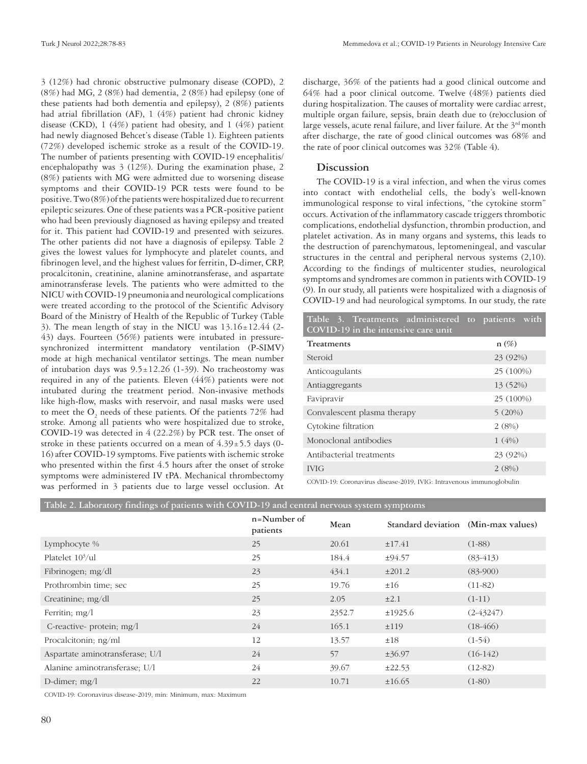3 (12%) had chronic obstructive pulmonary disease (COPD), 2 (8%) had MG, 2 (8%) had dementia, 2 (8%) had epilepsy (one of these patients had both dementia and epilepsy), 2 (8%) patients had atrial fibrillation (AF), 1 (4%) patient had chronic kidney disease (CKD), 1 (4%) patient had obesity, and 1 (4%) patient had newly diagnosed Behcet's disease (Table 1). Eighteen patients (72%) developed ischemic stroke as a result of the COVID-19. The number of patients presenting with COVID-19 encephalitis/ encephalopathy was 3 (12%). During the examination phase, 2 (8%) patients with MG were admitted due to worsening disease symptoms and their COVID-19 PCR tests were found to be positive. Two (8%) of the patients were hospitalized due to recurrent epileptic seizures. One of these patients was a PCR-positive patient who had been previously diagnosed as having epilepsy and treated for it. This patient had COVID-19 and presented with seizures. The other patients did not have a diagnosis of epilepsy. Table 2 gives the lowest values for lymphocyte and platelet counts, and fibrinogen level, and the highest values for ferritin, D-dimer, CRP, procalcitonin, creatinine, alanine aminotransferase, and aspartate aminotransferase levels. The patients who were admitted to the NICU with COVID-19 pneumonia and neurological complications were treated according to the protocol of the Scientific Advisory Board of the Ministry of Health of the Republic of Turkey (Table 3). The mean length of stay in the NICU was  $13.16 \pm 12.44$  (2-43) days. Fourteen (56%) patients were intubated in pressuresynchronized intermittent mandatory ventilation (P-SIMV) mode at high mechanical ventilator settings. The mean number of intubation days was  $9.5 \pm 12.26$  (1-39). No tracheostomy was required in any of the patients. Eleven (44%) patients were not intubated during the treatment period. Non-invasive methods like high-flow, masks with reservoir, and nasal masks were used to meet the  $\mathrm{O}_2$  needs of these patients. Of the patients  $72\%$  had stroke. Among all patients who were hospitalized due to stroke, COVID-19 was detected in 4 (22.2%) by PCR test. The onset of stroke in these patients occurred on a mean of  $4.39 \pm 5.5$  days (0-16) after COVID-19 symptoms. Five patients with ischemic stroke who presented within the first 4.5 hours after the onset of stroke symptoms were administered IV tPA. Mechanical thrombectomy was performed in 3 patients due to large vessel occlusion. At

discharge, 36% of the patients had a good clinical outcome and 64% had a poor clinical outcome. Twelve (48%) patients died during hospitalization. The causes of mortality were cardiac arrest, multiple organ failure, sepsis, brain death due to (re)occlusion of large vessels, acute renal failure, and liver failure. At the  $3<sup>rd</sup>$  month after discharge, the rate of good clinical outcomes was 68% and the rate of poor clinical outcomes was 32% (Table 4).

# **Discussion**

The COVID-19 is a viral infection, and when the virus comes into contact with endothelial cells, the body's well-known immunological response to viral infections, "the cytokine storm" occurs. Activation of the inflammatory cascade triggers thrombotic complications, endothelial dysfunction, thrombin production, and platelet activation. As in many organs and systems, this leads to the destruction of parenchymatous, leptomeningeal, and vascular structures in the central and peripheral nervous systems (2,10). According to the findings of multicenter studies, neurological symptoms and syndromes are common in patients with COVID-19 (9). In our study, all patients were hospitalized with a diagnosis of COVID-19 and had neurological symptoms. In our study, the rate

| Table 3. Treatments administered to patients with<br>COVID-19 in the intensive care unit |           |
|------------------------------------------------------------------------------------------|-----------|
| <b>Treatments</b>                                                                        | $n(\%)$   |
| Steroid                                                                                  | 23 (92%)  |
| Anticoagulants                                                                           | 25 (100%) |
| Antiaggregants                                                                           | 13 (52%)  |
| Favipravir                                                                               | 25 (100%) |
| Convalescent plasma therapy                                                              | 5(20%)    |
| Cytokine filtration                                                                      | 2(8%)     |
| Monoclonal antibodies                                                                    | 1(4%)     |
| Antibacterial treatments                                                                 | 23 (92%)  |
| <b>IVIG</b>                                                                              | 2(8%)     |

COVID-19: Coronavirus disease-2019, IVIG: Intravenous immunoglobulin

|  |  | Table 2. Laboratory findings of patients with COVID-19 and central nervous system symptoms |
|--|--|--------------------------------------------------------------------------------------------|
|  |  |                                                                                            |

|                                 | n=Number of<br>patients | Mean   | Standard deviation (Min-max values) |             |
|---------------------------------|-------------------------|--------|-------------------------------------|-------------|
| Lymphocyte %                    | 25                      | 20.61  | ±17.41                              | $(1-88)$    |
| Platelet 10 <sup>3</sup> /ul    | 25                      | 184.4  | ±94.57                              | $(83-413)$  |
| Fibrinogen; mg/dl               | 23                      | 434.1  | ±201.2                              | $(83-900)$  |
| Prothrombin time; sec           | 25                      | 19.76  | ±16                                 | $(11-82)$   |
| Creatinine; mg/dl               | 25                      | 2.05   | $\pm 2.1$                           | $(1-11)$    |
| Ferritin; $mg/l$                | 23                      | 2352.7 | ±1925.6                             | $(2-43247)$ |
| C-reactive- protein; mg/l       | 24                      | 165.1  | ±119                                | $(18-466)$  |
| Procalcitonin; ng/ml            | 12                      | 13.57  | ±18                                 | $(1-54)$    |
| Aspartate aminotransferase; U/l | 24                      | 57     | ±36.97                              | $(16-142)$  |
| Alanine aminotransferase; U/l   | 24                      | 39.67  | ±22.53                              | $(12-82)$   |
| D-dimer; $mg/l$                 | 22                      | 10.71  | ±16.65                              | $(1-80)$    |

COVID-19: Coronavirus disease-2019, min: Minimum, max: Maximum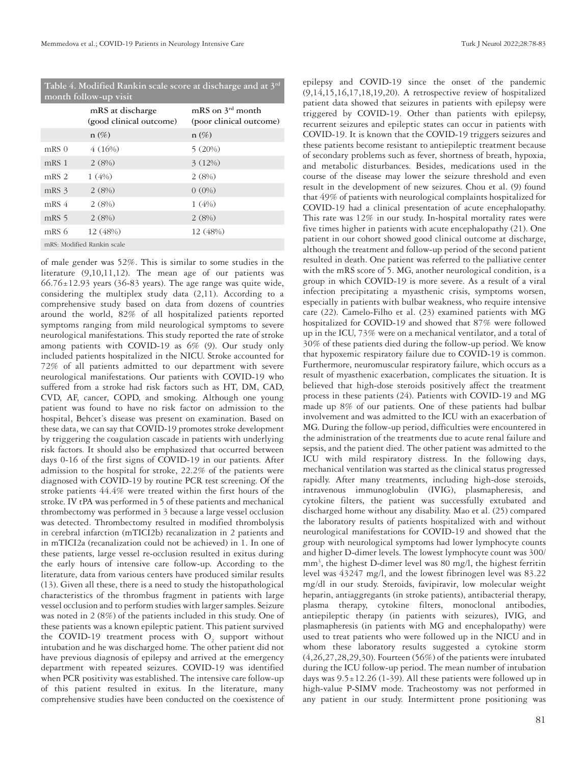**Table 4. Modified Rankin scale score at discharge and at 3rd month follow-up visit**

|                  | mRS at discharge<br>(good clinical outcome) | mRS on $3^{\text{rd}}$ month<br>(poor clinical outcome) |
|------------------|---------------------------------------------|---------------------------------------------------------|
|                  | $n(\%)$                                     | $n(\%)$                                                 |
| $mRS$ $0$        | 4(16%)                                      | 5(20%)                                                  |
| mRS <sub>1</sub> | 2(8%)                                       | 3(12%)                                                  |
| mRS <sub>2</sub> | 1(4%)                                       | 2(8%)                                                   |
| mRS 3            | 2(8%)                                       | $0(0\%)$                                                |
| $mRS$ 4          | 2(8%)                                       | 1(4%)                                                   |
| mRS 5            | 2(8%)                                       | 2(8%)                                                   |
| mRS 6            | 12 (48%)                                    | 12 (48%)                                                |
|                  | mRS: Modified Rankin scale                  |                                                         |

of male gender was 52%. This is similar to some studies in the literature (9,10,11,12). The mean age of our patients was  $66.76 \pm 12.93$  years (36-83 years). The age range was quite wide, considering the multiplex study data (2,11). According to a comprehensive study based on data from dozens of countries around the world, 82% of all hospitalized patients reported symptoms ranging from mild neurological symptoms to severe neurological manifestations. This study reported the rate of stroke among patients with COVID-19 as 6% (9). Our study only included patients hospitalized in the NICU. Stroke accounted for 72% of all patients admitted to our department with severe neurological manifestations. Our patients with COVID-19 who suffered from a stroke had risk factors such as HT, DM, CAD, CVD, AF, cancer, COPD, and smoking. Although one young patient was found to have no risk factor on admission to the hospital, Behcet's disease was present on examination. Based on these data, we can say that COVID-19 promotes stroke development by triggering the coagulation cascade in patients with underlying risk factors. It should also be emphasized that occurred between days 0-16 of the first signs of COVID-19 in our patients. After admission to the hospital for stroke, 22.2% of the patients were diagnosed with COVID-19 by routine PCR test screening. Of the stroke patients 44.4% were treated within the first hours of the stroke. IV tPA was performed in 5 of these patients and mechanical thrombectomy was performed in 3 because a large vessel occlusion was detected. Thrombectomy resulted in modified thrombolysis in cerebral infarction (mTICI2b) recanalization in 2 patients and in mTICI2a (recanalization could not be achieved) in 1. In one of these patients, large vessel re-occlusion resulted in exitus during the early hours of intensive care follow-up. According to the literature, data from various centers have produced similar results (13). Given all these, there is a need to study the histopathological characteristics of the thrombus fragment in patients with large vessel occlusion and to perform studies with larger samples. Seizure was noted in 2 (8%) of the patients included in this study. One of these patients was a known epileptic patient. This patient survived the COVID-19 treatment process with  $O_2$  support without intubation and he was discharged home. The other patient did not have previous diagnosis of epilepsy and arrived at the emergency department with repeated seizures. COVID-19 was identified when PCR positivity was established. The intensive care follow-up of this patient resulted in exitus. In the literature, many comprehensive studies have been conducted on the coexistence of

epilepsy and COVID-19 since the onset of the pandemic (9,14,15,16,17,18,19,20). A retrospective review of hospitalized patient data showed that seizures in patients with epilepsy were triggered by COVID-19. Other than patients with epilepsy, recurrent seizures and epileptic states can occur in patients with COVID-19. It is known that the COVID-19 triggers seizures and these patients become resistant to antiepileptic treatment because of secondary problems such as fever, shortness of breath, hypoxia, and metabolic disturbances. Besides, medications used in the course of the disease may lower the seizure threshold and even result in the development of new seizures. Chou et al. (9) found that 49% of patients with neurological complaints hospitalized for COVID-19 had a clinical presentation of acute encephalopathy. This rate was 12% in our study. In-hospital mortality rates were five times higher in patients with acute encephalopathy (21). One patient in our cohort showed good clinical outcome at discharge, although the treatment and follow-up period of the second patient resulted in death. One patient was referred to the palliative center with the mRS score of 5. MG, another neurological condition, is a group in which COVID-19 is more severe. As a result of a viral infection precipitating a myasthenic crisis, symptoms worsen, especially in patients with bulbar weakness, who require intensive care (22). Camelo-Filho et al. (23) examined patients with MG hospitalized for COVID-19 and showed that 87% were followed up in the ICU, 73% were on a mechanical ventilator, and a total of 30% of these patients died during the follow-up period. We know that hypoxemic respiratory failure due to COVID-19 is common. Furthermore, neuromuscular respiratory failure, which occurs as a result of myasthenic exacerbation, complicates the situation. It is believed that high-dose steroids positively affect the treatment process in these patients (24). Patients with COVID-19 and MG made up 8% of our patients. One of these patients had bulbar involvement and was admitted to the ICU with an exacerbation of MG. During the follow-up period, difficulties were encountered in the administration of the treatments due to acute renal failure and sepsis, and the patient died. The other patient was admitted to the ICU with mild respiratory distress. In the following days, mechanical ventilation was started as the clinical status progressed rapidly. After many treatments, including high-dose steroids, intravenous immunoglobulin (IVIG), plasmapheresis, and cytokine filters, the patient was successfully extubated and discharged home without any disability. Mao et al. (25) compared the laboratory results of patients hospitalized with and without neurological manifestations for COVID-19 and showed that the group with neurological symptoms had lower lymphocyte counts and higher D-dimer levels. The lowest lymphocyte count was 300/ mm3 , the highest D-dimer level was 80 mg/l, the highest ferritin level was 43247 mg/l, and the lowest fibrinogen level was 83.22 mg/dl in our study. Steroids, favipiravir, low molecular weight heparin, antiaggregants (in stroke patients), antibacterial therapy, plasma therapy, cytokine filters, monoclonal antibodies, antiepileptic therapy (in patients with seizures), IVIG, and plasmapheresis (in patients with MG and encephalopathy) were used to treat patients who were followed up in the NICU and in whom these laboratory results suggested a cytokine storm (4,26,27,28,29,30). Fourteen (56%) of the patients were intubated during the ICU follow-up period. The mean number of intubation days was  $9.5 \pm 12.26$  (1-39). All these patients were followed up in high-value P-SIMV mode. Tracheostomy was not performed in any patient in our study. Intermittent prone positioning was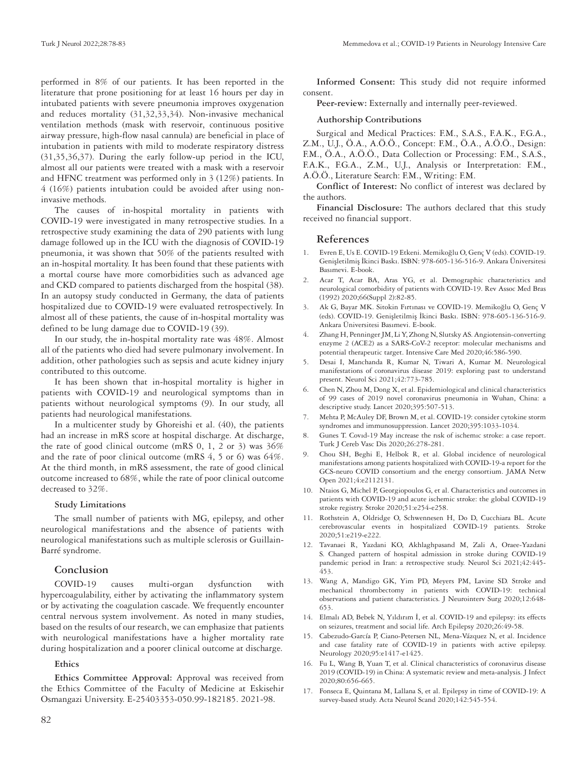performed in 8% of our patients. It has been reported in the literature that prone positioning for at least 16 hours per day in intubated patients with severe pneumonia improves oxygenation and reduces mortality (31,32,33,34). Non-invasive mechanical ventilation methods (mask with reservoir, continuous positive airway pressure, high-flow nasal cannula) are beneficial in place of intubation in patients with mild to moderate respiratory distress (31,35,36,37). During the early follow-up period in the ICU, almost all our patients were treated with a mask with a reservoir and HFNC treatment was performed only in 3 (12%) patients. In 4 (16%) patients intubation could be avoided after using noninvasive methods.

The causes of in-hospital mortality in patients with COVID-19 were investigated in many retrospective studies. In a retrospective study examining the data of 290 patients with lung damage followed up in the ICU with the diagnosis of COVID-19 pneumonia, it was shown that 50% of the patients resulted with an in-hospital mortality. It has been found that these patients with a mortal course have more comorbidities such as advanced age and CKD compared to patients discharged from the hospital (38). In an autopsy study conducted in Germany, the data of patients hospitalized due to COVID-19 were evaluated retrospectively. In almost all of these patients, the cause of in-hospital mortality was defined to be lung damage due to COVID-19 (39).

In our study, the in-hospital mortality rate was 48%. Almost all of the patients who died had severe pulmonary involvement. In addition, other pathologies such as sepsis and acute kidney injury contributed to this outcome.

It has been shown that in-hospital mortality is higher in patients with COVID-19 and neurological symptoms than in patients without neurological symptoms (9). In our study, all patients had neurological manifestations.

In a multicenter study by Ghoreishi et al. (40), the patients had an increase in mRS score at hospital discharge. At discharge, the rate of good clinical outcome (mRS  $0, 1, 2$  or  $3$ ) was  $36\%$ and the rate of poor clinical outcome (mRS 4, 5 or 6) was 64%. At the third month, in mRS assessment, the rate of good clinical outcome increased to 68%, while the rate of poor clinical outcome decreased to 32%.

### **Study Limitations**

The small number of patients with MG, epilepsy, and other neurological manifestations and the absence of patients with neurological manifestations such as multiple sclerosis or Guillain-Barré syndrome.

# **Conclusion**

COVID-19 causes multi-organ dysfunction with hypercoagulability, either by activating the inflammatory system or by activating the coagulation cascade. We frequently encounter central nervous system involvement. As noted in many studies, based on the results of our research, we can emphasize that patients with neurological manifestations have a higher mortality rate during hospitalization and a poorer clinical outcome at discharge.

## **Ethics**

**Ethics Committee Approval:** Approval was received from the Ethics Committee of the Faculty of Medicine at Eskisehir Osmangazi University. E-25403353-050.99-182185. 2021-98.

**Informed Consent:** This study did not require informed consent.

**Peer-review:** Externally and internally peer-reviewed.

### **Authorship Contributions**

Surgical and Medical Practices: F.M., S.A.S., F.A.K., F.G.A., Z.M., U.J., Ö.A., A.Ö.Ö., Concept: F.M., Ö.A., A.Ö.Ö., Design: F.M., Ö.A., A.Ö.Ö., Data Collection or Processing: F.M., S.A.S., F.A.K., F.G.A., Z.M., U.J., Analysis or Interpretation: F.M., A.Ö.Ö., Literature Search: F.M., Writing: F.M.

**Conflict of Interest:** No conflict of interest was declared by the authors.

**Financial Disclosure:** The authors declared that this study received no financial support.

## **References**

- 1. Evren E, Us E. COVID-19 Etkeni. Memikoğlu O, Genç V (eds). COVID-19. Genişletilmiş İkinci Baskı. ISBN: 978-605-136-516-9. Ankara Üniversitesi Basımevi. E-book.
- Acar T, Acar BA, Aras YG, et al. Demographic characteristics and neurological comorbidity of patients with COVID-19. Rev Assoc Med Bras (1992) 2020;66(Suppl 2):82-85.
- 3. Ak G, Bayar MK. Sitokin Fırtınası ve COVID-19. Memikoğlu O, Genç V (eds). COVID-19. Genişletilmiş İkinci Baskı. ISBN: 978-605-136-516-9. Ankara Üniversitesi Basımevi. E-book.
- 4. Zhang H, Penninger JM, Li Y, Zhong N, Slutsky AS. Angiotensin-converting enzyme 2 (ACE2) as a SARS-CoV-2 receptor: molecular mechanisms and potential therapeutic target. Intensive Care Med 2020;46:586-590.
- 5. Desai I, Manchanda R, Kumar N, Tiwari A, Kumar M. Neurological manifestations of coronavirus disease 2019: exploring past to understand present. Neurol Sci 2021;42:773-785.
- 6. Chen N, Zhou M, Dong X, et al. Epidemiological and clinical characteristics of 99 cases of 2019 novel coronavirus pneumonia in Wuhan, China: a descriptive study. Lancet 2020;395:507-513.
- Mehta P, McAuley DF, Brown M, et al. COVID-19: consider cytokine storm syndromes and immunosuppression. Lancet 2020;395:1033-1034.
- 8. Gunes T. Covıd-19 May increase the rısk of ischemıc stroke: a case report. Turk J Cereb Vasc Dis 2020;26:278-281.
- 9. Chou SH, Beghi E, Helbok R, et al. Global incidence of neurological manifestations among patients hospitalized with COVID-19-a report for the GCS-neuro COVID consortium and the energy consortium. JAMA Netw Open 2021;4:e2112131.
- 10. Ntaios G, Michel P, Georgiopoulos G, et al. Characteristics and outcomes in patients with COVID-19 and acute ischemic stroke: the global COVID-19 stroke registry. Stroke 2020;51:e254-e258.
- 11. Rothstein A, Oldridge O, Schwennesen H, Do D, Cucchiara BL. Acute cerebrovascular events in hospitalized COVID-19 patients. Stroke 2020;51:e219-e222.
- 12. Tavanaei R, Yazdani KO, Akhlaghpasand M, Zali A, Oraee-Yazdani S. Changed pattern of hospital admission in stroke during COVID-19 pandemic period in Iran: a retrospective study. Neurol Sci 2021;42:445- 453.
- 13. Wang A, Mandigo GK, Yim PD, Meyers PM, Lavine SD. Stroke and mechanical thrombectomy in patients with COVID-19: technical observations and patient characteristics. J Neurointerv Surg 2020;12:648- 653.
- 14. Elmalı AD, Bebek N, Yıldırım İ, et al. COVID-19 and epilepsy: its effects on seizures, treatment and social life. Arch Epilepsy 2020;26:49-58.
- 15. Cabezudo-García P, Ciano-Petersen NL, Mena-Vázquez N, et al. Incidence and case fatality rate of COVID-19 in patients with active epilepsy. Neurology 2020;95:e1417-e1425.
- 16. Fu L, Wang B, Yuan T, et al. Clinical characteristics of coronavirus disease 2019 (COVID-19) in China: A systematic review and meta-analysis. J Infect 2020;80:656-665.
- 17. Fonseca E, Quintana M, Lallana S, et al. Epilepsy in time of COVID-19: A survey-based study. Acta Neurol Scand 2020;142:545-554.